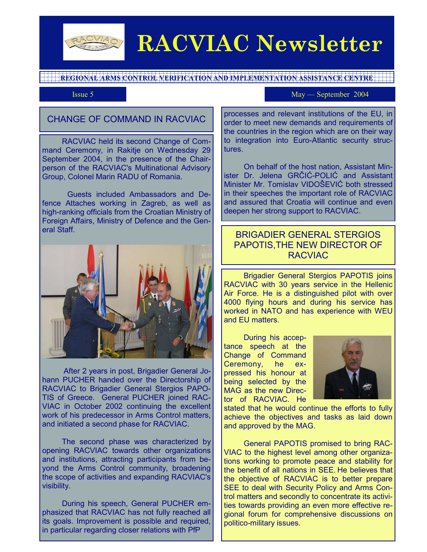

# **RACVIAC Newsletter**

**REGIONAL ARMS CONTROL VERIFICATION AND IMPLEMENTATION ASSISTANCE CENTRE** 

Issue 5 May — September 2004

# CHANGE OF COMMAND IN RACVIAC

 RACVIAC held its second Change of Command Ceremony, in Rakitje on Wednesday 29 September 2004, in the presence of the Chairperson of the RACVIAC's Multinational Advisory Group, Colonel Marin RADU of Romania.

Guests included Ambassadors and Defence Attaches working in Zagreb, as well as high-ranking officials from the Croatian Ministry of Foreign Affairs, Ministry of Defence and the General Staff.



 After 2 years in post, Brigadier General Johann PUCHER handed over the Directorship of RACVIAC to Brigadier General Stergios PAPO-TIS of Greece. General PUCHER joined RAC-VIAC in October 2002 continuing the excellent work of his predecessor in Arms Control matters. and initiated a second phase for RACVIAC.

 The second phase was characterized by opening RACVIAC towards other organizations and institutions, attracting participants from beyond the Arms Control community, broadening the scope of activities and expanding RACVIAC's visibility.

 During his speech, General PUCHER emphasized that RACVIAC has not fully reached all its goals. Improvement is possible and required, in particular regarding closer relations with PfP

processes and relevant institutions of the EU, in order to meet new demands and requirements of the countries in the region which are on their way to integration into Euro-Atlantic security structures.

 On behalf of the host nation, Assistant Minister Dr. Jelena GRČIĆ-POLIĆ and Assistant Minister Mr. Tomislav VIDOŠEVIĆ both stressed in their speeches the important role of RACVIAC and assured that Croatia will continue and even deepen her strong support to RACVIAC.

## BRIGADIER GENERAL STERGIOS PAPOTIS,THE NEW DIRECTOR OF RACVIAC

 Brigadier General Stergios PAPOTIS joins RACVIAC with 30 years service in the Hellenic Air Force. He is a distinguished pilot with over 4000 flying hours and during his service has worked in NATO and has experience with WEU and EU matters.

 During his acceptance speech at the Change of Command Ceremony, he expressed his honour at being selected by the MAG as the new Director of RACVIAC. He



stated that he would continue the efforts to fully achieve the objectives and tasks as laid down and approved by the MAG.

 General PAPOTIS promised to bring RAC-VIAC to the highest level among other organizations working to promote peace and stability for the benefit of all nations in SEE. He believes that the objective of RACVIAC is to better prepare SEE to deal with Security Policy and Arms Control matters and secondly to concentrate its activities towards providing an even more effective regional forum for comprehensive discussions on politico-military issues.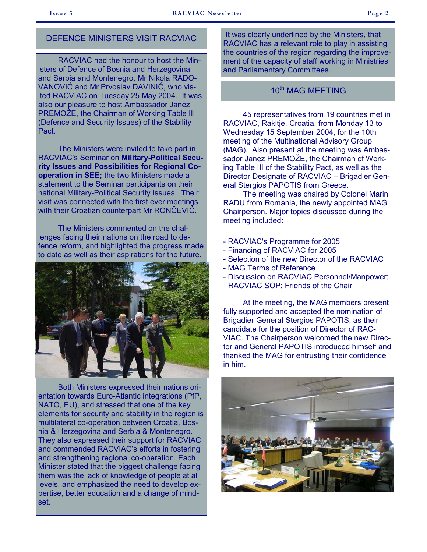## DEFENCE MINISTERS VISIT RACVIAC

 RACVIAC had the honour to host the Ministers of Defence of Bosnia and Herzegovina and Serbia and Montenegro, Mr Nikola RADO-VANOVIĆ and Mr Prvoslav DAVINIĆ, who visited RACVIAC on Tuesday 25 May 2004. It was also our pleasure to host Ambassador Janez PREMOŽE, the Chairman of Working Table III (Defence and Security Issues) of the Stability Pact.

 The Ministers were invited to take part in RACVIAC's Seminar on **Military-Political Security Issues and Possibilities for Regional Cooperation in SEE;** the two Ministers made a statement to the Seminar participants on their national Military-Political Security Issues. Their visit was connected with the first ever meetings with their Croatian counterpart Mr RONČEVIĆ.

 The Ministers commented on the challenges facing their nations on the road to defence reform, and highlighted the progress made to date as well as their aspirations for the future.



 Both Ministers expressed their nations orientation towards Euro-Atlantic integrations (PfP, NATO, EU), and stressed that one of the key elements for security and stability in the region is multilateral co-operation between Croatia, Bosnia & Herzegovina and Serbia & Montenegro. They also expressed their support for RACVIAC and commended RACVIAC's efforts in fostering and strengthening regional co-operation. Each Minister stated that the biggest challenge facing them was the lack of knowledge of people at all levels, and emphasized the need to develop expertise, better education and a change of mindset.

It was clearly underlined by the Ministers, that RACVIAC has a relevant role to play in assisting the countries of the region regarding the improvement of the capacity of staff working in Ministries and Parliamentary Committees.

#### 10<sup>th</sup> MAG MFFTING

 45 representatives from 19 countries met in RACVIAC, Rakitje, Croatia, from Monday 13 to Wednesday 15 September 2004, for the 10th meeting of the Multinational Advisory Group (MAG). Also present at the meeting was Ambassador Janez PREMOŽE, the Chairman of Working Table III of the Stability Pact, as well as the Director Designate of RACVIAC – Brigadier General Stergios PAPOTIS from Greece.

 The meeting was chaired by Colonel Marin RADU from Romania, the newly appointed MAG Chairperson. Major topics discussed during the meeting included:

- RACVIAC's Programme for 2005
- Financing of RACVIAC for 2005
- Selection of the new Director of the RACVIAC
- MAG Terms of Reference
- Discussion on RACVIAC Personnel/Manpower; RACVIAC SOP; Friends of the Chair

 At the meeting, the MAG members present fully supported and accepted the nomination of Brigadier General Stergios PAPOTIS, as their candidate for the position of Director of RAC-VIAC. The Chairperson welcomed the new Director and General PAPOTIS introduced himself and thanked the MAG for entrusting their confidence in him.

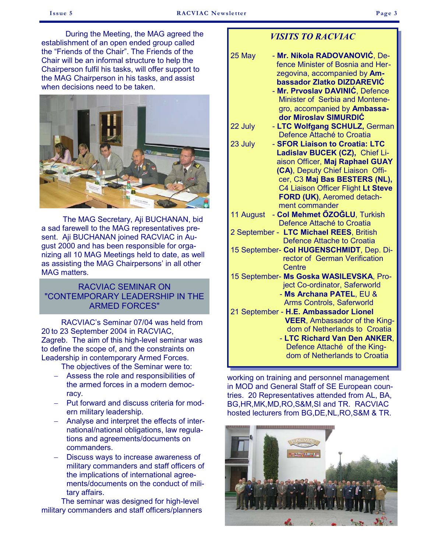During the Meeting, the MAG agreed the establishment of an open ended group called the "Friends of the Chair". The Friends of the Chair will be an informal structure to help the Chairperson fulfil his tasks, will offer support to the MAG Chairperson in his tasks, and assist when decisions need to be taken.



 The MAG Secretary, Aji BUCHANAN, bid a sad farewell to the MAG representatives present. Aji BUCHANAN joined RACVIAC in August 2000 and has been responsible for organizing all 10 MAG Meetings held to date, as well as assisting the MAG Chairpersons' in all other MAG matters.

## RACVIAC SEMINAR ON "CONTEMPORARY LEADERSHIP IN THE ARMED FORCES"

 RACVIAC's Seminar 07/04 was held from 20 to 23 September 2004 in RACVIAC, Zagreb. The aim of this high-level seminar was to define the scope of, and the constraints on Leadership in contemporary Armed Forces.

The objectives of the Seminar were to:

- − Assess the role and responsibilities of the armed forces in a modern democracy.
- − Put forward and discuss criteria for modern military leadership.
- − Analyse and interpret the effects of international/national obligations, law regulations and agreements/documents on commanders.
- Discuss ways to increase awareness of military commanders and staff officers of the implications of international agreements/documents on the conduct of military affairs.

 The seminar was designed for high-level military commanders and staff officers/planners

## *VISITS TO RACVIAC*

| - Mr. Nikola RADOVANOVIĆ, De-<br>25 May   |  |  |  |
|-------------------------------------------|--|--|--|
| fence Minister of Bosnia and Her-         |  |  |  |
| zegovina, accompanied by Am-              |  |  |  |
| bassador Zlatko DIZDAREVIĆ                |  |  |  |
| - Mr. Prvoslav DAVINIĆ, Defence           |  |  |  |
| Minister of Serbia and Montene-           |  |  |  |
| gro, accompanied by Ambassa-              |  |  |  |
| dor Miroslav SIMURDIĆ                     |  |  |  |
| - LTC Wolfgang SCHULZ, German<br>22 July  |  |  |  |
| Defence Attaché to Croatia                |  |  |  |
| 23 July<br>- SFOR Liaison to Croatia: LTC |  |  |  |
| Ladislav BUCEK (CZ), Chief Li-            |  |  |  |
| aison Officer, Maj Raphael GUAY           |  |  |  |
| (CA), Deputy Chief Liaison Offi-          |  |  |  |
| cer, C3 Maj Bas BESTERS (NL),             |  |  |  |
| C4 Liaison Officer Flight Lt Steve        |  |  |  |
| FORD (UK), Aeromed detach-                |  |  |  |
| ment commander                            |  |  |  |
| - Col Mehmet ÖZOĞLU, Turkish<br>11 August |  |  |  |
| Defence Attaché to Croatia                |  |  |  |
| 2 September - LTC Michael REES, British   |  |  |  |
| Defence Attache to Croatia                |  |  |  |
| 15 September- Col HUGENSCHMIDT, Dep. Di-  |  |  |  |
| rector of German Verification             |  |  |  |
| <b>Centre</b>                             |  |  |  |
| 15 September- Ms Goska WASILEVSKA, Pro-   |  |  |  |
| ject Co-ordinator, Saferworld             |  |  |  |
| - Ms Archana PATEL, EU &                  |  |  |  |
| Arms Controls, Saferworld                 |  |  |  |
| 21 September - H.E. Ambassador Lionel     |  |  |  |
| <b>VEER, Ambassador of the King-</b>      |  |  |  |
| dom of Netherlands to Croatia             |  |  |  |
| - LTC Richard Van Den ANKER,              |  |  |  |
| Defence Attaché of the King-              |  |  |  |
| dom of Netherlands to Croatia             |  |  |  |

working on training and personnel management in MOD and General Staff of SE European countries. 20 Representatives attended from AL, BA, BG,HR,MK,MD,RO,S&M,SI and TR. RACVIAC hosted lecturers from BG,DE,NL,RO,S&M & TR.

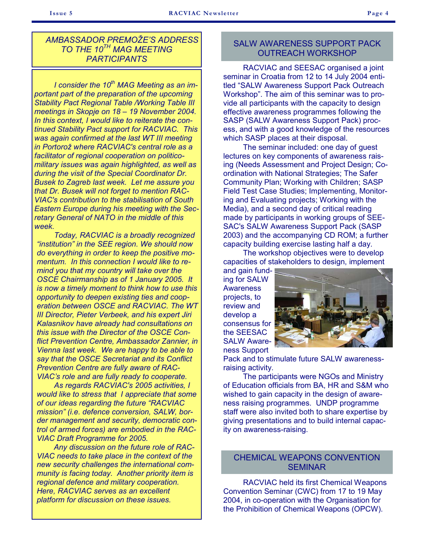## *AMBASSADOR PREMOŽE'S ADDRESS TO THE 10TH MAG MEETING PARTICIPANTS*

 *I consider the 10th MAG Meeting as an important part of the preparation of the upcoming Stability Pact Regional Table /Working Table III meetings in Skopje on 18 – 19 November 2004. In this context, I would like to reiterate the continued Stability Pact support for RACVIAC. This was again confirmed at the last WT III meeting in Portorož where RACVIAC's central role as a facilitator of regional cooperation on politicomilitary issues was again highlighted, as well as during the visit of the Special Coordinator Dr. Busek to Zagreb last week. Let me assure you that Dr. Busek will not forget to mention RAC-VIAC's contribution to the stabilisation of South Eastern Europe during his meeting with the Secretary General of NATO in the middle of this week.* 

 *Today, RACVIAC is a broadly recognized "institution" in the SEE region. We should now do everything in order to keep the positive momentum. In this connection I would like to remind you that my country will take over the OSCE Chairmanship as of 1 January 2005. It is now a timely moment to think how to use this opportunity to deepen existing ties and cooperation between OSCE and RACVIAC. The WT III Director, Pieter Verbeek, and his expert Jiri Kalasnikov have already had consultations on this issue with the Director of the OSCE Conflict Prevention Centre, Ambassador Zannier, in Vienna last week. We are happy to be able to say that the OSCE Secretariat and its Conflict Prevention Centre are fully aware of RAC-VIAC's role and are fully ready to cooperate.* 

 *As regards RACVIAC's 2005 activities, I would like to stress that I appreciate that some of our ideas regarding the future "RACVIAC mission" (i.e. defence conversion, SALW, border management and security, democratic control of armed forces) are embodied in the RAC-VIAC Draft Programme for 2005.* 

 *Any discussion on the future role of RAC-VIAC needs to take place in the context of the new security challenges the international community is facing today. Another priority item is regional defence and military cooperation. Here, RACVIAC serves as an excellent platform for discussion on these issues.* 

#### SALW AWARENESS SUPPORT PACK OUTREACH WORKSHOP

 RACVIAC and SEESAC organised a joint seminar in Croatia from 12 to 14 July 2004 entitled "SALW Awareness Support Pack Outreach Workshop". The aim of this seminar was to provide all participants with the capacity to design effective awareness programmes following the SASP (SALW Awareness Support Pack) process, and with a good knowledge of the resources which SASP places at their disposal.

 The seminar included: one day of guest lectures on key components of awareness raising (Needs Assessment and Project Design; Coordination with National Strategies; The Safer Community Plan; Working with Children; SASP Field Test Case Studies; Implementing, Monitoring and Evaluating projects; Working with the Media), and a second day of critical reading made by participants in working groups of SEE-SAC's SALW Awareness Support Pack (SASP 2003) and the accompanying CD ROM; a further capacity building exercise lasting half a day.

 The workshop objectives were to develop capacities of stakeholders to design, implement

and gain funding for SALW **Awareness** projects, to review and develop a consensus for the SEESAC SALW Awareness Support



Pack and to stimulate future SALW awarenessraising activity.

 The participants were NGOs and Ministry of Education officials from BA, HR and S&M who wished to gain capacity in the design of awareness raising programmes. UNDP programme staff were also invited both to share expertise by giving presentations and to build internal capacity on awareness-raising.

#### CHEMICAL WEAPONS CONVENTION SEMINAR

 RACVIAC held its first Chemical Weapons Convention Seminar (CWC) from 17 to 19 May 2004, in co-operation with the Organisation for the Prohibition of Chemical Weapons (OPCW).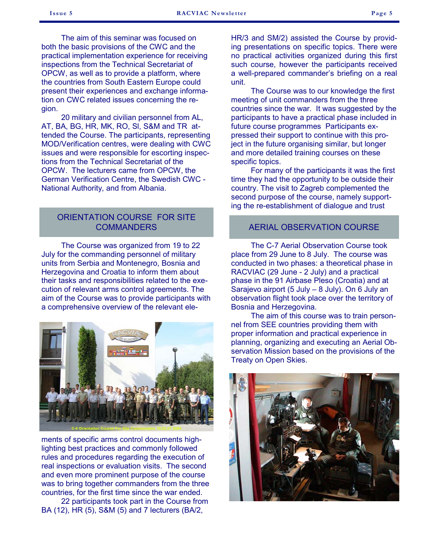The aim of this seminar was focused on both the basic provisions of the CWC and the practical implementation experience for receiving inspections from the Technical Secretariat of OPCW, as well as to provide a platform, where the countries from South Eastern Europe could present their experiences and exchange information on CWC related issues concerning the region.

 20 military and civilian personnel from AL, AT, BA, BG, HR, MK, RO, Sl, S&M and TR attended the Course. The participants, representing MOD/Verification centres, were dealing with CWC issues and were responsible for escorting inspections from the Technical Secretariat of the OPCW. The lecturers came from OPCW, the German Verification Centre, the Swedish CWC - National Authority, and from Albania.

#### ORIENTATION COURSE FOR SITE **COMMANDERS**

 The Course was organized from 19 to 22 July for the commanding personnel of military units from Serbia and Montenegro, Bosnia and Herzegovina and Croatia to inform them about their tasks and responsibilities related to the execution of relevant arms control agreements. The aim of the Course was to provide participants with a comprehensive overview of the relevant ele-



ments of specific arms control documents highlighting best practices and commonly followed rules and procedures regarding the execution of real inspections or evaluation visits. The second and even more prominent purpose of the course was to bring together commanders from the three countries, for the first time since the war ended.

 22 participants took part in the Course from BA (12), HR (5), S&M (5) and 7 lecturers (BA/2,

HR/3 and SM/2) assisted the Course by providing presentations on specific topics. There were no practical activities organized during this first such course, however the participants received a well-prepared commander's briefing on a real unit.

 The Course was to our knowledge the first meeting of unit commanders from the three countries since the war. It was suggested by the participants to have a practical phase included in future course programmes Participants expressed their support to continue with this project in the future organising similar, but longer and more detailed training courses on these specific topics.

 For many of the participants it was the first time they had the opportunity to be outside their country. The visit to Zagreb complemented the second purpose of the course, namely supporting the re-establishment of dialogue and trust

#### AERIAL OBSERVATION COURSE

 The C-7 Aerial Observation Course took place from 29 June to 8 July. The course was conducted in two phases: a theoretical phase in RACVIAC (29 June - 2 July) and a practical phase in the 91 Airbase Pleso (Croatia) and at Sarajevo airport (5 July – 8 July). On 6 July an observation flight took place over the territory of Bosnia and Herzegovina.

 The aim of this course was to train personnel from SEE countries providing them with proper information and practical experience in planning, organizing and executing an Aerial Observation Mission based on the provisions of the Treaty on Open Skies.

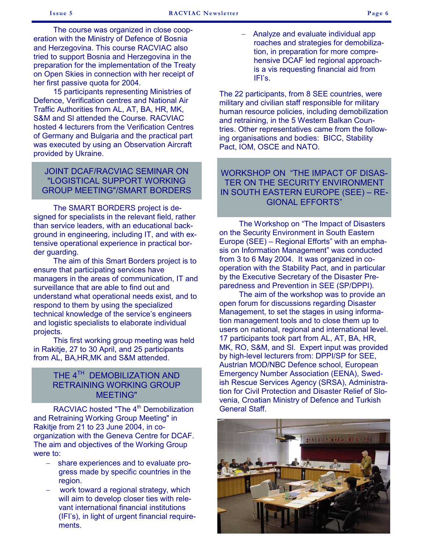The course was organized in close cooperation with the Ministry of Defence of Bosnia and Herzegovina. This course RACVIAC also tried to support Bosnia and Herzegovina in the preparation for the implementation of the Treaty on Open Skies in connection with her receipt of her first passive quota for 2004.

 15 participants representing Ministries of Defence, Verification centres and National Air Traffic Authorities from AL, AT, BA, HR, MK, S&M and Sl attended the Course. RACVIAC hosted 4 lecturers from the Verification Centres of Germany and Bulgaria and the practical part was executed by using an Observation Aircraft provided by Ukraine.

#### JOINT DCAF/RACVIAC SEMINAR ON "LOGISTICAL SUPPORT WORKING GROUP MEETING"/SMART BORDERS

signed for specialists in the relevant field, rather than service leaders, with an educational background in engineering, including IT, and with extensive operational experience in practical border guarding.

 The aim of this Smart Borders project is to ensure that participating services have managers in the areas of communication, IT and surveillance that are able to find out and understand what operational needs exist, and to respond to them by using the specialized technical knowledge of the service's engineers and logistic specialists to elaborate individual projects.

 This first working group meeting was held in Rakitje, 27 to 30 April, and 25 participants from AL, BA,HR,MK and S&M attended.

### THE 4<sup>TH</sup> DEMOBILIZATION AND RETRAINING WORKING GROUP MEETING"

RACVIAC hosted "The 4<sup>th</sup> Demobilization" and Retraining Working Group Meeting" in Rakitje from 21 to 23 June 2004, in coorganization with the Geneva Centre for DCAF. The aim and objectives of the Working Group were to:

- − share experiences and to evaluate progress made by specific countries in the region.
- work toward a regional strategy, which will aim to develop closer ties with relevant international financial institutions (IFI's), in light of urgent financial requirements.

 − Analyze and evaluate individual app roaches and strategies for demobiliza tion, in preparation for more compre hensive DCAF led regional approach is a vis requesting financial aid from IFI's.

The 22 participants, from 8 SEE countries, were military and civilian staff responsible for military human resource policies, including demobilization and retraining, in the 5 Western Balkan Countries. Other representatives came from the following organisations and bodies: BICC, Stability Pact, IOM, OSCE and NATO.

# WORKSHOP ON "THE IMPACT OF DISAS-TER ON THE SECURITY ENVIRONMENT IN SOUTH EASTERN EUROPE (SEE) – RE-The SMART BORDERS project is de-<br>
The SMART BORDERS project is de-

 The Workshop on "The Impact of Disasters on the Security Environment in South Eastern Europe (SEE) – Regional Efforts" with an emphasis on Information Management" was conducted from 3 to 6 May 2004. It was organized in cooperation with the Stability Pact, and in particular by the Executive Secretary of the Disaster Preparedness and Prevention in SEE (SP/DPPI).

 The aim of the workshop was to provide an open forum for discussions regarding Disaster Management, to set the stages in using information management tools and to close them up to users on national, regional and international level. 17 participants took part from AL, AT, BA, HR, MK, RO, S&M, and Sl. Expert input was provided by high-level lecturers from: DPPI/SP for SEE, Austrian MOD/NBC Defence school, European Emergency Number Association (EENA), Swedish Rescue Services Agency (SRSA), Administration for Civil Protection and Disaster Relief of Slovenia, Croatian Ministry of Defence and Turkish General Staff.

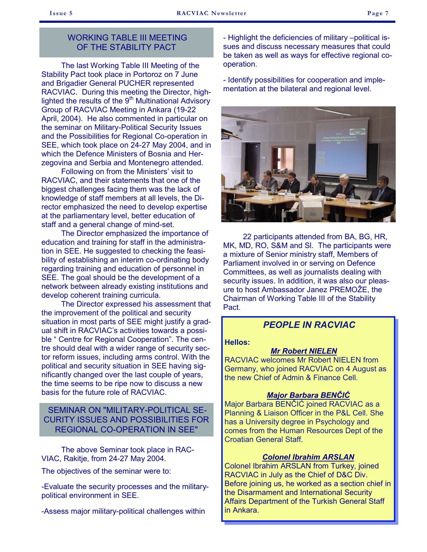#### WORKING TABLE III MEETING OF THE STABILITY PACT

 The last Working Table III Meeting of the Stability Pact took place in Portoroz on 7 June and Brigadier General PUCHER represented RACVIAC. During this meeting the Director, highlighted the results of the  $9<sup>th</sup>$  Multinational Advisory Group of RACVIAC Meeting in Ankara (19-22 April, 2004). He also commented in particular on the seminar on Military-Political Security Issues and the Possibilities for Regional Co-operation in SEE, which took place on 24-27 May 2004, and in which the Defence Ministers of Bosnia and Herzegovina and Serbia and Montenegro attended.

 Following on from the Ministers' visit to RACVIAC, and their statements that one of the biggest challenges facing them was the lack of knowledge of staff members at all levels, the Director emphasized the need to develop expertise at the parliamentary level, better education of staff and a general change of mind-set.

 The Director emphasized the importance of education and training for staff in the administration in SEE. He suggested to checking the feasibility of establishing an interim co-ordinating body regarding training and education of personnel in SEE. The goal should be the development of a network between already existing institutions and develop coherent training curricula.

 The Director expressed his assessment that the improvement of the political and security situation in most parts of SEE might justify a gradual shift in RACVIAC's activities towards a possible " Centre for Regional Cooperation". The centre should deal with a wider range of security sector reform issues, including arms control. With the political and security situation in SEE having significantly changed over the last couple of years, the time seems to be ripe now to discuss a new basis for the future role of RACVIAC.

## SEMINAR ON "MILITARY-POLITICAL SE-CURITY ISSUES AND POSSIBILITIES FOR REGIONAL CO-OPERATION IN SEE"

 The above Seminar took place in RAC-VIAC, Rakitje, from 24-27 May 2004.

The objectives of the seminar were to:

-Evaluate the security processes and the militarypolitical environment in SEE.

-Assess major military-political challenges within

- Highlight the deficiencies of military –political issues and discuss necessary measures that could be taken as well as ways for effective regional cooperation.

- Identify possibilities for cooperation and implementation at the bilateral and regional level.



 22 participants attended from BA, BG, HR, MK, MD, RO, S&M and Sl. The participants were a mixture of Senior ministry staff, Members of Parliament involved in or serving on Defence Committees, as well as journalists dealing with security issues. In addition, it was also our pleasure to host Ambassador Janez PREMOŽE, the Chairman of Working Table III of the Stability Pact.

## *PEOPLE IN RACVIAC*

#### **Hellos:**

#### *Mr Robert NIELEN*

RACVIAC welcomes Mr Robert NIELEN from Germany, who joined RACVIAC on 4 August as the new Chief of Admin & Finance Cell.

#### *Major Barbara BENČIĆ*

Major Barbara BENČIĆ joined RACVIAC as a Planning & Liaison Officer in the P&L Cell. She has a University degree in Psychology and comes from the Human Resources Dept of the Croatian General Staff.

## *Colonel Ibrahim ARSLAN*

Colonel Ibrahim ARSLAN from Turkey, joined RACVIAC in July as the Chief of D&C Div. Before joining us, he worked as a section chief in the Disarmament and International Security Affairs Department of the Turkish General Staff in Ankara.